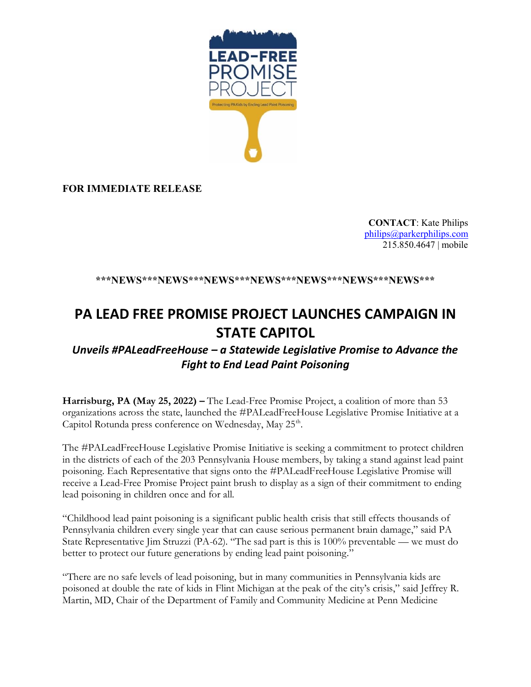

**FOR IMMEDIATE RELEASE**

**CONTACT**: Kate Philips [philips@parkerphilips.com](mailto:philips@parkerphilips.com) 215.850.4647 | mobile

## **\*\*\*NEWS\*\*\*NEWS\*\*\*NEWS\*\*\*NEWS\*\*\*NEWS\*\*\*NEWS\*\*\*NEWS\*\*\***

## **PA LEAD FREE PROMISE PROJECT LAUNCHES CAMPAIGN IN STATE CAPITOL**

## *Unveils #PALeadFreeHouse – a Statewide Legislative Promise to Advance the Fight to End Lead Paint Poisoning*

**Harrisburg, PA (May 25, 2022) –** The Lead-Free Promise Project, a coalition of more than 53 organizations across the state, launched the #PALeadFreeHouse Legislative Promise Initiative at a Capitol Rotunda press conference on Wednesday, May 25<sup>th</sup>.

The #PALeadFreeHouse Legislative Promise Initiative is seeking a commitment to protect children in the districts of each of the 203 Pennsylvania House members, by taking a stand against lead paint poisoning. Each Representative that signs onto the #PALeadFreeHouse Legislative Promise will receive a Lead-Free Promise Project paint brush to display as a sign of their commitment to ending lead poisoning in children once and for all.

"Childhood lead paint poisoning is a significant public health crisis that still effects thousands of Pennsylvania children every single year that can cause serious permanent brain damage," said PA State Representative Jim Struzzi (PA-62). "The sad part is this is 100% preventable — we must do better to protect our future generations by ending lead paint poisoning."

"There are no safe levels of lead poisoning, but in many communities in Pennsylvania kids are poisoned at double the rate of kids in Flint Michigan at the peak of the city's crisis," said Jeffrey R. Martin, MD, Chair of the Department of Family and Community Medicine at Penn Medicine